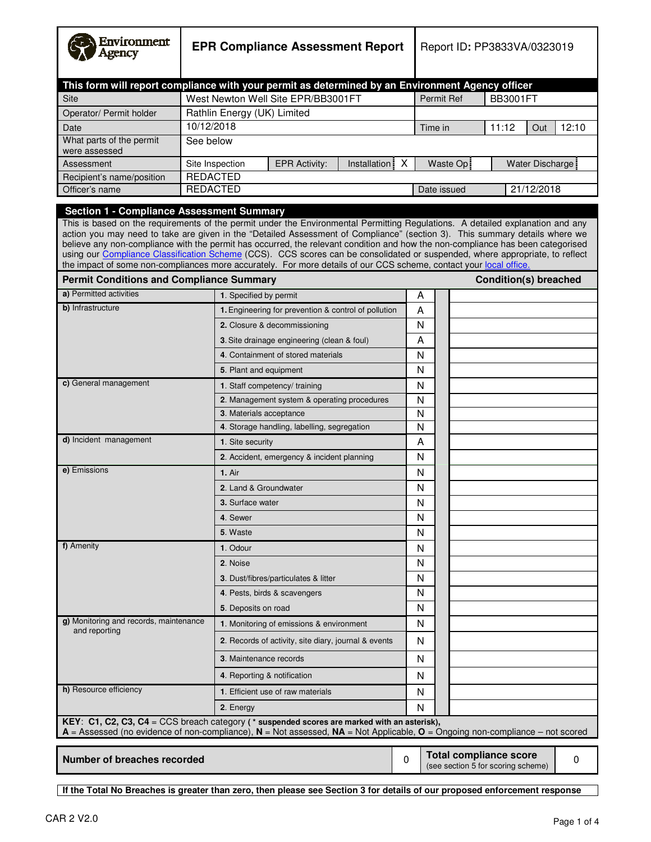| Environment<br><b>Igency</b>                                                                                                                                                                                                                                                                                                                                                                                                                                                                                                                                                                                                                                                                               | <b>EPR Compliance Assessment Report</b> |                                             |                                                      |                                                                     |  | Report ID: PP3833VA/0323019 |                   |           |                              |                  |       |
|------------------------------------------------------------------------------------------------------------------------------------------------------------------------------------------------------------------------------------------------------------------------------------------------------------------------------------------------------------------------------------------------------------------------------------------------------------------------------------------------------------------------------------------------------------------------------------------------------------------------------------------------------------------------------------------------------------|-----------------------------------------|---------------------------------------------|------------------------------------------------------|---------------------------------------------------------------------|--|-----------------------------|-------------------|-----------|------------------------------|------------------|-------|
| This form will report compliance with your permit as determined by an Environment Agency officer                                                                                                                                                                                                                                                                                                                                                                                                                                                                                                                                                                                                           |                                         |                                             |                                                      |                                                                     |  |                             |                   |           |                              |                  |       |
| <b>Site</b>                                                                                                                                                                                                                                                                                                                                                                                                                                                                                                                                                                                                                                                                                                |                                         |                                             | West Newton Well Site EPR/BB3001FT                   |                                                                     |  |                             | <b>Permit Ref</b> |           | <b>BB3001FT</b>              |                  |       |
| Operator/ Permit holder                                                                                                                                                                                                                                                                                                                                                                                                                                                                                                                                                                                                                                                                                    | Rathlin Energy (UK) Limited             |                                             |                                                      |                                                                     |  |                             |                   |           |                              |                  |       |
| Date                                                                                                                                                                                                                                                                                                                                                                                                                                                                                                                                                                                                                                                                                                       | 10/12/2018                              |                                             |                                                      |                                                                     |  |                             | Time in           |           | 11:12                        | Out              | 12:10 |
| What parts of the permit<br>were assessed                                                                                                                                                                                                                                                                                                                                                                                                                                                                                                                                                                                                                                                                  | See below                               |                                             |                                                      |                                                                     |  |                             |                   |           |                              |                  |       |
| Assessment                                                                                                                                                                                                                                                                                                                                                                                                                                                                                                                                                                                                                                                                                                 | Site Inspection                         |                                             | <b>EPR Activity:</b>                                 | Installation X                                                      |  |                             |                   | Waste Op: |                              | Water Discharge: |       |
| Recipient's name/position                                                                                                                                                                                                                                                                                                                                                                                                                                                                                                                                                                                                                                                                                  | <b>REDACTED</b>                         |                                             |                                                      |                                                                     |  |                             |                   |           |                              |                  |       |
| Officer's name                                                                                                                                                                                                                                                                                                                                                                                                                                                                                                                                                                                                                                                                                             | <b>REDACTED</b>                         |                                             |                                                      |                                                                     |  |                             | Date issued       |           |                              | 21/12/2018       |       |
| <b>Section 1 - Compliance Assessment Summary</b><br>This is based on the requirements of the permit under the Environmental Permitting Regulations. A detailed explanation and any<br>action you may need to take are given in the "Detailed Assessment of Compliance" (section 3). This summary details where we<br>believe any non-compliance with the permit has occurred, the relevant condition and how the non-compliance has been categorised<br>using our Compliance Classification Scheme (CCS). CCS scores can be consolidated or suspended, where appropriate, to reflect<br>the impact of some non-compliances more accurately. For more details of our CCS scheme, contact your local office. |                                         |                                             |                                                      |                                                                     |  |                             |                   |           |                              |                  |       |
| <b>Permit Conditions and Compliance Summary</b>                                                                                                                                                                                                                                                                                                                                                                                                                                                                                                                                                                                                                                                            |                                         |                                             |                                                      |                                                                     |  |                             |                   |           | <b>Condition(s) breached</b> |                  |       |
| a) Permitted activities                                                                                                                                                                                                                                                                                                                                                                                                                                                                                                                                                                                                                                                                                    |                                         | 1. Specified by permit                      |                                                      |                                                                     |  | Α                           |                   |           |                              |                  |       |
| b) Infrastructure                                                                                                                                                                                                                                                                                                                                                                                                                                                                                                                                                                                                                                                                                          |                                         |                                             | 1. Engineering for prevention & control of pollution |                                                                     |  | A                           |                   |           |                              |                  |       |
|                                                                                                                                                                                                                                                                                                                                                                                                                                                                                                                                                                                                                                                                                                            |                                         |                                             | 2. Closure & decommissioning                         |                                                                     |  | N                           |                   |           |                              |                  |       |
|                                                                                                                                                                                                                                                                                                                                                                                                                                                                                                                                                                                                                                                                                                            |                                         | 3. Site drainage engineering (clean & foul) |                                                      |                                                                     |  | A                           |                   |           |                              |                  |       |
|                                                                                                                                                                                                                                                                                                                                                                                                                                                                                                                                                                                                                                                                                                            |                                         |                                             | 4. Containment of stored materials                   |                                                                     |  | N                           |                   |           |                              |                  |       |
|                                                                                                                                                                                                                                                                                                                                                                                                                                                                                                                                                                                                                                                                                                            |                                         | 5. Plant and equipment                      |                                                      |                                                                     |  | N                           |                   |           |                              |                  |       |
| c) General management                                                                                                                                                                                                                                                                                                                                                                                                                                                                                                                                                                                                                                                                                      |                                         |                                             | 1. Staff competency/ training                        |                                                                     |  | N                           |                   |           |                              |                  |       |
|                                                                                                                                                                                                                                                                                                                                                                                                                                                                                                                                                                                                                                                                                                            |                                         |                                             | 2. Management system & operating procedures          |                                                                     |  | N                           |                   |           |                              |                  |       |
|                                                                                                                                                                                                                                                                                                                                                                                                                                                                                                                                                                                                                                                                                                            |                                         | 3. Materials acceptance                     |                                                      |                                                                     |  | N                           |                   |           |                              |                  |       |
|                                                                                                                                                                                                                                                                                                                                                                                                                                                                                                                                                                                                                                                                                                            |                                         |                                             | 4. Storage handling, labelling, segregation          |                                                                     |  | $\mathsf{N}$                |                   |           |                              |                  |       |
| d) Incident management                                                                                                                                                                                                                                                                                                                                                                                                                                                                                                                                                                                                                                                                                     |                                         | 1. Site security                            |                                                      |                                                                     |  | A                           |                   |           |                              |                  |       |
|                                                                                                                                                                                                                                                                                                                                                                                                                                                                                                                                                                                                                                                                                                            |                                         |                                             | 2. Accident, emergency & incident planning           |                                                                     |  | N                           |                   |           |                              |                  |       |
| e) Emissions                                                                                                                                                                                                                                                                                                                                                                                                                                                                                                                                                                                                                                                                                               |                                         | <b>1. Air</b>                               |                                                      |                                                                     |  | N                           |                   |           |                              |                  |       |
|                                                                                                                                                                                                                                                                                                                                                                                                                                                                                                                                                                                                                                                                                                            |                                         | 2. Land & Groundwater                       |                                                      |                                                                     |  | N                           |                   |           |                              |                  |       |
|                                                                                                                                                                                                                                                                                                                                                                                                                                                                                                                                                                                                                                                                                                            |                                         | 3. Surface water                            |                                                      |                                                                     |  | N                           |                   |           |                              |                  |       |
|                                                                                                                                                                                                                                                                                                                                                                                                                                                                                                                                                                                                                                                                                                            |                                         | 4. Sewer                                    |                                                      |                                                                     |  | N                           |                   |           |                              |                  |       |
|                                                                                                                                                                                                                                                                                                                                                                                                                                                                                                                                                                                                                                                                                                            |                                         | 5. Waste                                    |                                                      |                                                                     |  | N                           |                   |           |                              |                  |       |
| f) Amenity                                                                                                                                                                                                                                                                                                                                                                                                                                                                                                                                                                                                                                                                                                 |                                         | 1. Odour                                    |                                                      |                                                                     |  | N                           |                   |           |                              |                  |       |
|                                                                                                                                                                                                                                                                                                                                                                                                                                                                                                                                                                                                                                                                                                            |                                         | 2. Noise                                    |                                                      |                                                                     |  | N                           |                   |           |                              |                  |       |
|                                                                                                                                                                                                                                                                                                                                                                                                                                                                                                                                                                                                                                                                                                            |                                         |                                             | 3. Dust/fibres/particulates & litter                 |                                                                     |  | N                           |                   |           |                              |                  |       |
|                                                                                                                                                                                                                                                                                                                                                                                                                                                                                                                                                                                                                                                                                                            |                                         |                                             | 4. Pests, birds & scavengers                         |                                                                     |  | N                           |                   |           |                              |                  |       |
| g) Monitoring and records, maintenance                                                                                                                                                                                                                                                                                                                                                                                                                                                                                                                                                                                                                                                                     |                                         | 5. Deposits on road                         |                                                      |                                                                     |  | N                           |                   |           |                              |                  |       |
| and reporting                                                                                                                                                                                                                                                                                                                                                                                                                                                                                                                                                                                                                                                                                              |                                         |                                             | 1. Monitoring of emissions & environment             |                                                                     |  | N                           |                   |           |                              |                  |       |
|                                                                                                                                                                                                                                                                                                                                                                                                                                                                                                                                                                                                                                                                                                            |                                         |                                             | 2. Records of activity, site diary, journal & events |                                                                     |  | N                           |                   |           |                              |                  |       |
|                                                                                                                                                                                                                                                                                                                                                                                                                                                                                                                                                                                                                                                                                                            |                                         | 3. Maintenance records                      |                                                      |                                                                     |  | N                           |                   |           |                              |                  |       |
|                                                                                                                                                                                                                                                                                                                                                                                                                                                                                                                                                                                                                                                                                                            |                                         | 4. Reporting & notification                 |                                                      |                                                                     |  | N.                          |                   |           |                              |                  |       |
| h) Resource efficiency                                                                                                                                                                                                                                                                                                                                                                                                                                                                                                                                                                                                                                                                                     |                                         |                                             | 1. Efficient use of raw materials                    |                                                                     |  | N                           |                   |           |                              |                  |       |
|                                                                                                                                                                                                                                                                                                                                                                                                                                                                                                                                                                                                                                                                                                            |                                         | 2. Energy                                   |                                                      |                                                                     |  | N                           |                   |           |                              |                  |       |
| KEY: C1, C2, C3, C4 = CCS breach category (* suspended scores are marked with an asterisk),<br>A = Assessed (no evidence of non-compliance), N = Not assessed, NA = Not Applicable, O = Ongoing non-compliance - not scored                                                                                                                                                                                                                                                                                                                                                                                                                                                                                |                                         |                                             |                                                      |                                                                     |  |                             |                   |           |                              |                  |       |
| <b>Number of breaches recorded</b>                                                                                                                                                                                                                                                                                                                                                                                                                                                                                                                                                                                                                                                                         |                                         |                                             | 0                                                    | <b>Total compliance score</b><br>(see section 5 for scoring scheme) |  |                             | 0                 |           |                              |                  |       |

ı

**If the Total No Breaches is greater than zero, then please see Section 3 for details of our proposed enforcement response** 

Г

 $\mathbf{r}$ 

Т

٦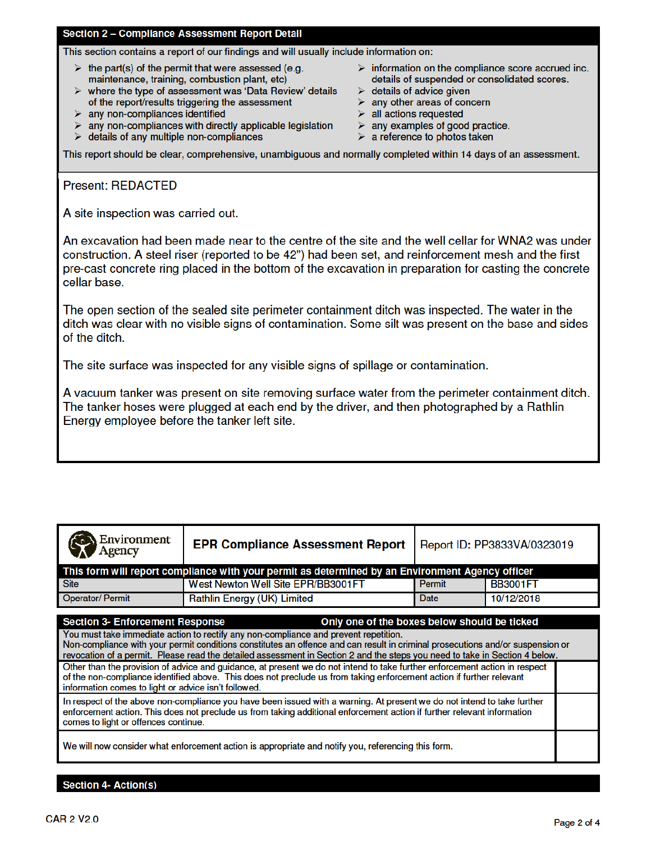## Section 2 - Compliance Assessment Report Detail

This section contains a report of our findings and will usually include information on:

- $\triangleright$  the part(s) of the permit that were assessed (e.g. maintenance, training, combustion plant, etc)
- $\triangleright$  where the type of assessment was 'Data Review' details of the report/results triggering the assessment
- $\triangleright$  any non-compliances identified
- $\triangleright$  any non-compliances with directly applicable legislation
- $\triangleright$  details of any multiple non-compliances
- $\triangleright$  information on the compliance score accrued inc. details of suspended or consolidated scores.
- $\triangleright$  details of advice given
- $\triangleright$  any other areas of concern
- $\triangleright$  all actions requested
- $\triangleright$  any examples of good practice.
- $\triangleright$  a reference to photos taken

This report should be clear, comprehensive, unambiguous and normally completed within 14 days of an assessment.

# **Present: REDACTED**

A site inspection was carried out.

An excavation had been made near to the centre of the site and the well cellar for WNA2 was under construction. A steel riser (reported to be 42") had been set, and reinforcement mesh and the first pre-cast concrete ring placed in the bottom of the excavation in preparation for casting the concrete cellar base.

The open section of the sealed site perimeter containment ditch was inspected. The water in the ditch was clear with no visible signs of contamination. Some silt was present on the base and sides of the ditch.

The site surface was inspected for any visible signs of spillage or contamination.

A vacuum tanker was present on site removing surface water from the perimeter containment ditch. The tanker hoses were plugged at each end by the driver, and then photographed by a Rathlin Energy employee before the tanker left site.

| Environment<br>Agency                                                                                                                                                                                                                                                                                                                                                                                                                                                                                                                                                                                                                                                                                                                                         | <b>EPR Compliance Assessment Report</b>                                                          | Report ID: PP3833VA/0323019 |                 |  |  |  |  |
|---------------------------------------------------------------------------------------------------------------------------------------------------------------------------------------------------------------------------------------------------------------------------------------------------------------------------------------------------------------------------------------------------------------------------------------------------------------------------------------------------------------------------------------------------------------------------------------------------------------------------------------------------------------------------------------------------------------------------------------------------------------|--------------------------------------------------------------------------------------------------|-----------------------------|-----------------|--|--|--|--|
|                                                                                                                                                                                                                                                                                                                                                                                                                                                                                                                                                                                                                                                                                                                                                               | This form will report compliance with your permit as determined by an Environment Agency officer |                             |                 |  |  |  |  |
| <b>Site</b>                                                                                                                                                                                                                                                                                                                                                                                                                                                                                                                                                                                                                                                                                                                                                   | West Newton Well Site EPR/BB3001FT                                                               | <b>Permit</b>               | <b>BB3001FT</b> |  |  |  |  |
| <b>Operator/Permit</b>                                                                                                                                                                                                                                                                                                                                                                                                                                                                                                                                                                                                                                                                                                                                        | Rathlin Energy (UK) Limited                                                                      | Date                        | 10/12/2018      |  |  |  |  |
| <b>Section 3- Enforcement Response</b><br>Only one of the boxes below should be ticked<br>You must take immediate action to rectify any non-compliance and prevent repetition.<br>Non-compliance with your permit conditions constitutes an offence and can result in criminal prosecutions and/or suspension or<br>revocation of a permit. Please read the detailed assessment in Section 2 and the steps you need to take in Section 4 below.<br>Other than the provision of advice and guidance, at present we do not intend to take further enforcement action in respect<br>of the non-compliance identified above. This does not preclude us from taking enforcement action if further relevant<br>information comes to light or advice isn't followed. |                                                                                                  |                             |                 |  |  |  |  |
| In respect of the above non-compliance you have been issued with a warning. At present we do not intend to take further<br>enforcement action. This does not preclude us from taking additional enforcement action if further relevant information<br>comes to light or offences continue.                                                                                                                                                                                                                                                                                                                                                                                                                                                                    |                                                                                                  |                             |                 |  |  |  |  |
| We will now consider what enforcement action is appropriate and notify you, referencing this form.                                                                                                                                                                                                                                                                                                                                                                                                                                                                                                                                                                                                                                                            |                                                                                                  |                             |                 |  |  |  |  |

### **Section 4- Action(s)**

 $\sim$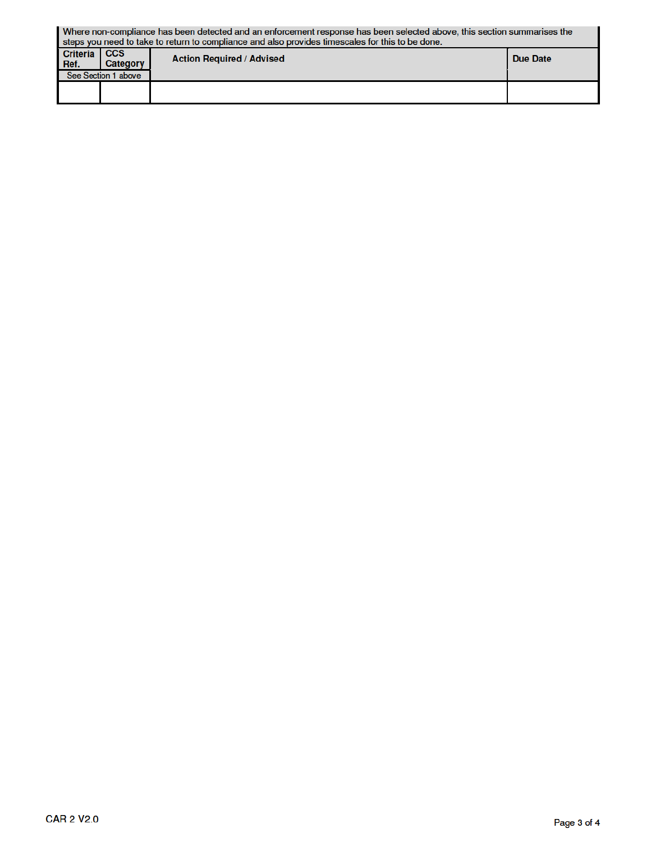| Where non-compliance has been detected and an enforcement response has been selected above, this section summarises the<br>steps you need to take to return to compliance and also provides timescales for this to be done. |                               |                                  |          |  |  |  |
|-----------------------------------------------------------------------------------------------------------------------------------------------------------------------------------------------------------------------------|-------------------------------|----------------------------------|----------|--|--|--|
| <b>Criteria</b><br>Ref.                                                                                                                                                                                                     | <b>CCS</b><br><b>Category</b> | <b>Action Required / Advised</b> | Due Date |  |  |  |
|                                                                                                                                                                                                                             | See Section 1 above           |                                  |          |  |  |  |
|                                                                                                                                                                                                                             |                               |                                  |          |  |  |  |